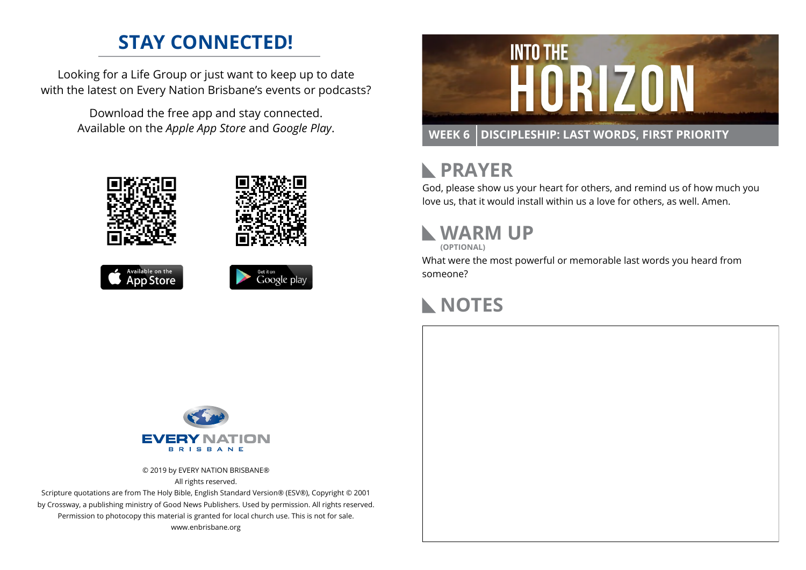#### **STAY CONNECTED!**

Looking for a Life Group or just want to keep up to date with the latest on Every Nation Brisbane's events or podcasts?

> Download the free app and stay connected. Available on the *Apple App Store* and *Google Play*.





```
Available on the
App Store
```




### **RAYER**

God, please show us your heart for others, and remind us of how much you love us, that it would install within us a love for others, as well. Amen.

# **WARM UP**

**(OPTIONAL)**

What were the most powerful or memorable last words you heard from someone?

# **NOTES**



© 2019 by EVERY NATION BRISBANE® All rights reserved.

Scripture quotations are from The Holy Bible, English Standard Version® (ESV®), Copyright © 2001 by Crossway, a publishing ministry of Good News Publishers. Used by permission. All rights reserved. Permission to photocopy this material is granted for local church use. This is not for sale. www.enbrisbane.org